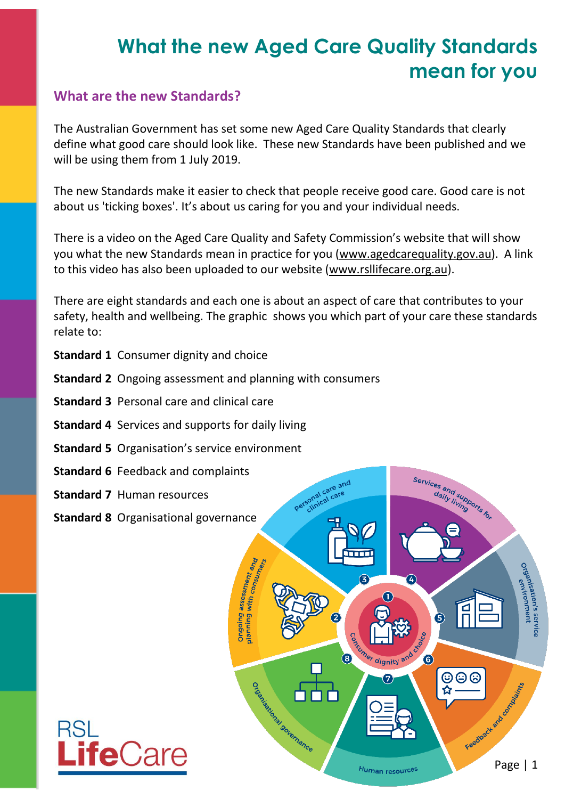# **What the new Aged Care Quality Standards mean for you**

#### **What are the new Standards?**

The Australian Government has set some new Aged Care Quality Standards that clearly define what good care should look like. These new Standards have been published and we will be using them from 1 July 2019.

The new Standards make it easier to check that people receive good care. Good care is not about us 'ticking boxes'. It's about us caring for you and your individual needs.

There is a video on the Aged Care Quality and Safety Commission's website that will show you what the new Standards mean in practice for you (www.agedcarequality.gov.au). A link to this video has also been uploaded to our website [\(www.rsllifecare.org.au\)](http://www.rsllifecare.org.au/).

There are eight standards and each one is about an aspect of care that contributes to your safety, health and wellbeing. The graphic shows you which part of your care these standards relate to:

- **Standard 1** Consumer dignity and choice
- **Standard 2** Ongoing assessment and planning with consumers
- **Standard 3** Personal care and clinical care
- **Standard 4** Services and supports for daily living
- **Standard 5** Organisation's service environment
- **Standard 6** Feedback and complaints
- **Standard 7** Human resources

**re**Car

**Standard 8** Organisational governance

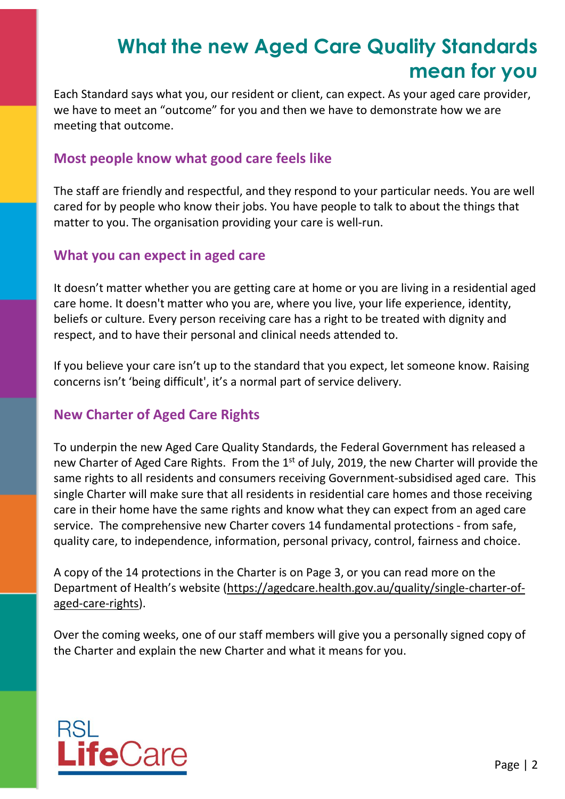## **What the new Aged Care Quality Standards mean for you**

Each Standard says what you, our resident or client, can expect. As your aged care provider, we have to meet an "outcome" for you and then we have to demonstrate how we are meeting that outcome.

#### **Most people know what good care feels like**

The staff are friendly and respectful, and they respond to your particular needs. You are well cared for by people who know their jobs. You have people to talk to about the things that matter to you. The organisation providing your care is well-run.

#### **What you can expect in aged care**

It doesn't matter whether you are getting care at home or you are living in a residential aged care home. It doesn't matter who you are, where you live, your life experience, identity, beliefs or culture. Every person receiving care has a right to be treated with dignity and respect, and to have their personal and clinical needs attended to.

If you believe your care isn't up to the standard that you expect, let someone know. Raising concerns isn't 'being difficult', it's a normal part of service delivery.

#### **New Charter of Aged Care Rights**

To underpin the new Aged Care Quality Standards, the Federal Government has released a new Charter of Aged Care Rights. From the 1<sup>st</sup> of July, 2019, the new Charter will provide the same rights to all residents and consumers receiving Government-subsidised aged care. This single Charter will make sure that all residents in residential care homes and those receiving care in their home have the same rights and know what they can expect from an aged care service. The comprehensive new Charter covers 14 fundamental protections - from safe, quality care, to independence, information, personal privacy, control, fairness and choice.

A copy of the 14 protections in the Charter is on Page 3, or you can read more on the Department of Health's website ([https://agedcare.health.gov.au/quality/single-charter-of](https://agedcare.health.gov.au/quality/single-charter-of-aged-care-rights)[aged-care-rights\)](https://agedcare.health.gov.au/quality/single-charter-of-aged-care-rights).

Over the coming weeks, one of our staff members will give you a personally signed copy of the Charter and explain the new Charter and what it means for you.

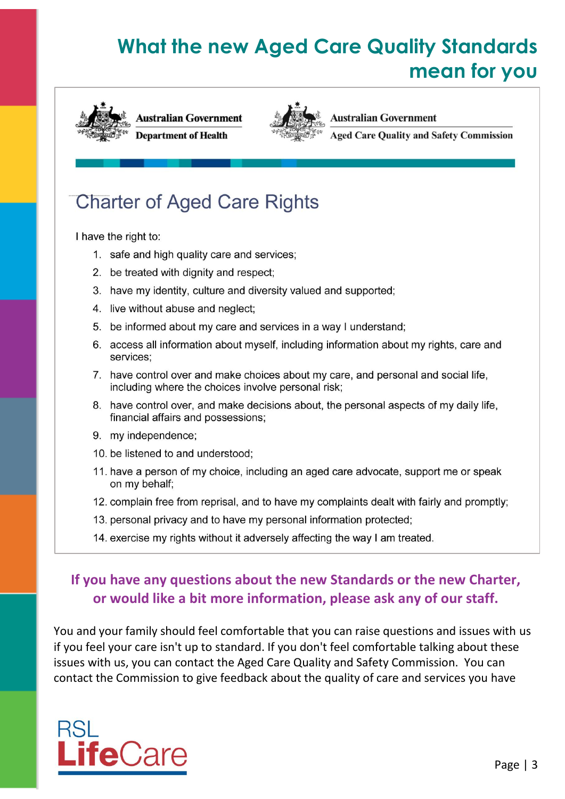## **What the new Aged Care Quality Standards** mean for you





**Australian Government** 

**Aged Care Quality and Safety Commission** 

### **Charter of Aged Care Rights**

I have the right to:

- 1. safe and high quality care and services;
- 2. be treated with dignity and respect;
- 3. have my identity, culture and diversity valued and supported;
- 4. live without abuse and neglect;
- 5. be informed about my care and services in a way I understand;
- 6. access all information about myself, including information about my rights, care and services:
- 7. have control over and make choices about my care, and personal and social life, including where the choices involve personal risk;
- 8. have control over, and make decisions about, the personal aspects of my daily life, financial affairs and possessions;
- 9. my independence;
- 10. be listened to and understood;
- 11. have a person of my choice, including an aged care advocate, support me or speak on my behalf;
- 12. complain free from reprisal, and to have my complaints dealt with fairly and promptly;
- 13. personal privacy and to have my personal information protected;
- 14. exercise my rights without it adversely affecting the way I am treated.

### If you have any questions about the new Standards or the new Charter, or would like a bit more information, please ask any of our staff.

You and your family should feel comfortable that you can raise questions and issues with us if you feel your care isn't up to standard. If you don't feel comfortable talking about these issues with us, you can contact the Aged Care Quality and Safety Commission. You can contact the Commission to give feedback about the quality of care and services you have